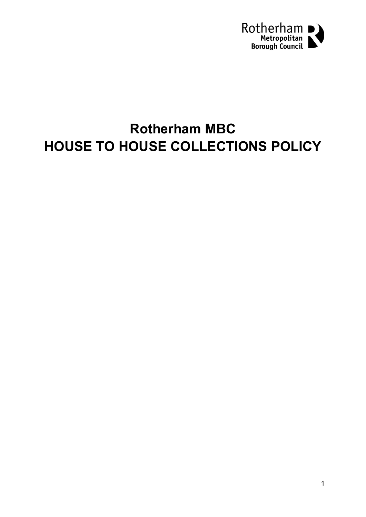

# **Rotherham MBC HOUSE TO HOUSE COLLECTIONS POLICY**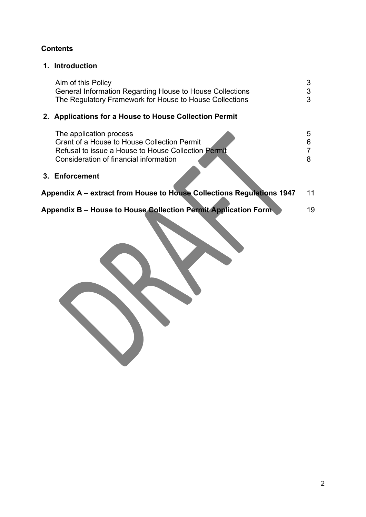## **Contents**

## **1. Introduction**

| Aim of this Policy                                       |   |
|----------------------------------------------------------|---|
| General Information Regarding House to House Collections | 3 |
| The Regulatory Framework for House to House Collections  | 3 |

# **2. Applications for a House to House Collection Permit**

|                                                                             | The application process<br>Grant of a House to House Collection Permit<br>Refusal to issue a House to House Collection Permit<br>Consideration of financial information<br>3. Enforcement |    |  |  |
|-----------------------------------------------------------------------------|-------------------------------------------------------------------------------------------------------------------------------------------------------------------------------------------|----|--|--|
| Appendix A – extract from House to House Collections Regulations 1947<br>11 |                                                                                                                                                                                           |    |  |  |
|                                                                             | Appendix B – House to House Collection Permit Application Form                                                                                                                            | 19 |  |  |

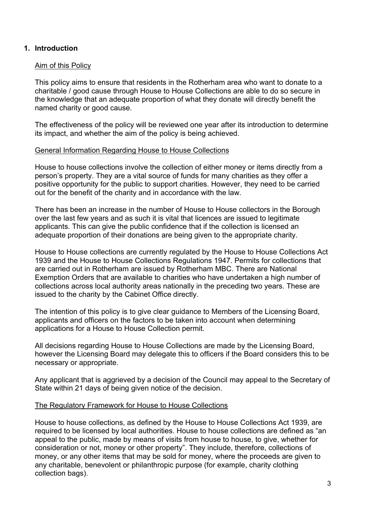#### **1. Introduction**

#### Aim of this Policy

This policy aims to ensure that residents in the Rotherham area who want to donate to a charitable / good cause through House to House Collections are able to do so secure in the knowledge that an adequate proportion of what they donate will directly benefit the named charity or good cause.

The effectiveness of the policy will be reviewed one year after its introduction to determine its impact, and whether the aim of the policy is being achieved.

#### General Information Regarding House to House Collections

House to house collections involve the collection of either money or items directly from a person's property. They are a vital source of funds for many charities as they offer a positive opportunity for the public to support charities. However, they need to be carried out for the benefit of the charity and in accordance with the law.

There has been an increase in the number of House to House collectors in the Borough over the last few years and as such it is vital that licences are issued to legitimate applicants. This can give the public confidence that if the collection is licensed an adequate proportion of their donations are being given to the appropriate charity.

House to House collections are currently regulated by the House to House Collections Act 1939 and the House to House Collections Regulations 1947. Permits for collections that are carried out in Rotherham are issued by Rotherham MBC. There are National Exemption Orders that are available to charities who have undertaken a high number of collections across local authority areas nationally in the preceding two years. These are issued to the charity by the Cabinet Office directly.

The intention of this policy is to give clear guidance to Members of the Licensing Board, applicants and officers on the factors to be taken into account when determining applications for a House to House Collection permit.

All decisions regarding House to House Collections are made by the Licensing Board, however the Licensing Board may delegate this to officers if the Board considers this to be necessary or appropriate.

Any applicant that is aggrieved by a decision of the Council may appeal to the Secretary of State within 21 days of being given notice of the decision.

#### The Regulatory Framework for House to House Collections

House to house collections, as defined by the House to House Collections Act 1939, are required to be licensed by local authorities. House to house collections are defined as "an appeal to the public, made by means of visits from house to house, to give, whether for consideration or not, money or other property". They include, therefore, collections of money, or any other items that may be sold for money, where the proceeds are given to any charitable, benevolent or philanthropic purpose (for example, charity clothing collection bags).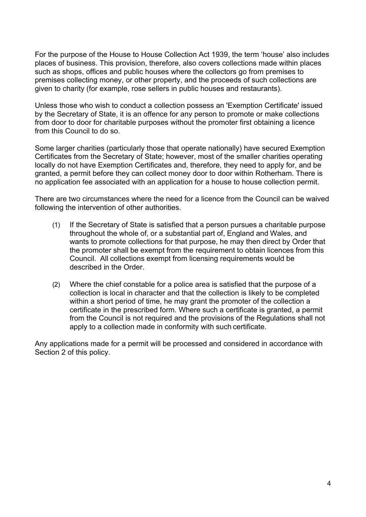For the purpose of the House to House Collection Act 1939, the term 'house' also includes places of business. This provision, therefore, also covers collections made within places such as shops, offices and public houses where the collectors go from premises to premises collecting money, or other property, and the proceeds of such collections are given to charity (for example, rose sellers in public houses and restaurants).

Unless those who wish to conduct a collection possess an 'Exemption Certificate' issued by the Secretary of State, it is an offence for any person to promote or make collections from door to door for charitable purposes without the promoter first obtaining a licence from this Council to do so.

Some larger charities (particularly those that operate nationally) have secured Exemption Certificates from the Secretary of State; however, most of the smaller charities operating locally do not have Exemption Certificates and, therefore, they need to apply for, and be granted, a permit before they can collect money door to door within Rotherham. There is no application fee associated with an application for a house to house collection permit.

There are two circumstances where the need for a licence from the Council can be waived following the intervention of other authorities.

- (1) If the Secretary of State is satisfied that a person pursues a charitable purpose throughout the whole of, or a substantial part of, England and Wales, and wants to promote collections for that purpose, he may then direct by Order that the promoter shall be exempt from the requirement to obtain licences from this Council. All collections exempt from licensing requirements would be described in the Order.
- (2) Where the chief constable for a police area is satisfied that the purpose of a collection is local in character and that the collection is likely to be completed within a short period of time, he may grant the promoter of the collection a certificate in the prescribed form. Where such a certificate is granted, a permit from the Council is not required and the provisions of the Regulations shall not apply to a collection made in conformity with such certificate.

Any applications made for a permit will be processed and considered in accordance with Section 2 of this policy.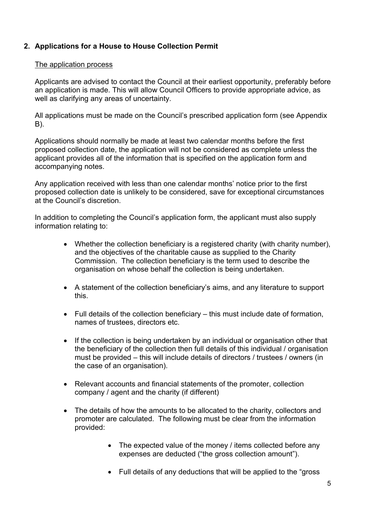## **2. Applications for a House to House Collection Permit**

#### The application process

Applicants are advised to contact the Council at their earliest opportunity, preferably before an application is made. This will allow Council Officers to provide appropriate advice, as well as clarifying any areas of uncertainty.

All applications must be made on the Council's prescribed application form (see Appendix B).

Applications should normally be made at least two calendar months before the first proposed collection date, the application will not be considered as complete unless the applicant provides all of the information that is specified on the application form and accompanying notes.

Any application received with less than one calendar months' notice prior to the first proposed collection date is unlikely to be considered, save for exceptional circumstances at the Council's discretion.

In addition to completing the Council's application form, the applicant must also supply information relating to:

- Whether the collection beneficiary is a registered charity (with charity number), and the objectives of the charitable cause as supplied to the Charity Commission. The collection beneficiary is the term used to describe the organisation on whose behalf the collection is being undertaken.
- A statement of the collection beneficiary's aims, and any literature to support this.
- Full details of the collection beneficiary this must include date of formation, names of trustees, directors etc.
- If the collection is being undertaken by an individual or organisation other that the beneficiary of the collection then full details of this individual / organisation must be provided – this will include details of directors / trustees / owners (in the case of an organisation).
- Relevant accounts and financial statements of the promoter, collection company / agent and the charity (if different)
- The details of how the amounts to be allocated to the charity, collectors and promoter are calculated. The following must be clear from the information provided:
	- The expected value of the money / items collected before any expenses are deducted ("the gross collection amount").
	- Full details of any deductions that will be applied to the "gross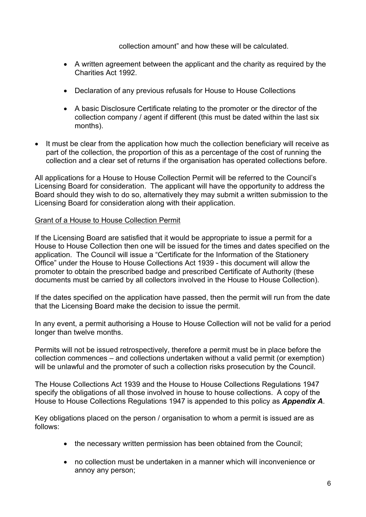collection amount" and how these will be calculated.

- A written agreement between the applicant and the charity as required by the Charities Act 1992.
- Declaration of any previous refusals for House to House Collections
- A basic Disclosure Certificate relating to the promoter or the director of the collection company / agent if different (this must be dated within the last six months).
- It must be clear from the application how much the collection beneficiary will receive as part of the collection, the proportion of this as a percentage of the cost of running the collection and a clear set of returns if the organisation has operated collections before.

All applications for a House to House Collection Permit will be referred to the Council's Licensing Board for consideration. The applicant will have the opportunity to address the Board should they wish to do so, alternatively they may submit a written submission to the Licensing Board for consideration along with their application.

#### Grant of a House to House Collection Permit

If the Licensing Board are satisfied that it would be appropriate to issue a permit for a House to House Collection then one will be issued for the times and dates specified on the application. The Council will issue a "Certificate for the Information of the Stationery Office" under the House to House Collections Act 1939 - this document will allow the promoter to obtain the prescribed badge and prescribed Certificate of Authority (these documents must be carried by all collectors involved in the House to House Collection).

If the dates specified on the application have passed, then the permit will run from the date that the Licensing Board make the decision to issue the permit.

In any event, a permit authorising a House to House Collection will not be valid for a period longer than twelve months.

Permits will not be issued retrospectively, therefore a permit must be in place before the collection commences – and collections undertaken without a valid permit (or exemption) will be unlawful and the promoter of such a collection risks prosecution by the Council.

The House Collections Act 1939 and the House to House Collections Regulations 1947 specify the obligations of all those involved in house to house collections. A copy of the House to House Collections Regulations 1947 is appended to this policy as *Appendix A*.

Key obligations placed on the person / organisation to whom a permit is issued are as follows:

- the necessary written permission has been obtained from the Council:
- no collection must be undertaken in a manner which will inconvenience or annoy any person;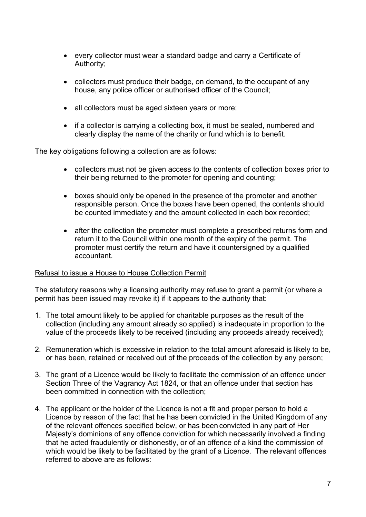- every collector must wear a standard badge and carry a Certificate of Authority;
- collectors must produce their badge, on demand, to the occupant of any house, any police officer or authorised officer of the Council;
- all collectors must be aged sixteen years or more;
- if a collector is carrying a collecting box, it must be sealed, numbered and clearly display the name of the charity or fund which is to benefit.

The key obligations following a collection are as follows:

- collectors must not be given access to the contents of collection boxes prior to their being returned to the promoter for opening and counting;
- boxes should only be opened in the presence of the promoter and another responsible person. Once the boxes have been opened, the contents should be counted immediately and the amount collected in each box recorded;
- after the collection the promoter must complete a prescribed returns form and return it to the Council within one month of the expiry of the permit. The promoter must certify the return and have it countersigned by a qualified accountant.

#### Refusal to issue a House to House Collection Permit

The statutory reasons why a licensing authority may refuse to grant a permit (or where a permit has been issued may revoke it) if it appears to the authority that:

- 1. The total amount likely to be applied for charitable purposes as the result of the collection (including any amount already so applied) is inadequate in proportion to the value of the proceeds likely to be received (including any proceeds already received);
- 2. Remuneration which is excessive in relation to the total amount aforesaid is likely to be, or has been, retained or received out of the proceeds of the collection by any person;
- 3. The grant of a Licence would be likely to facilitate the commission of an offence under Section Three of the Vagrancy Act 1824, or that an offence under that section has been committed in connection with the collection;
- 4. The applicant or the holder of the Licence is not a fit and proper person to hold a Licence by reason of the fact that he has been convicted in the United Kingdom of any of the relevant offences specified below, or has been convicted in any part of Her Majesty's dominions of any offence conviction for which necessarily involved a finding that he acted fraudulently or dishonestly, or of an offence of a kind the commission of which would be likely to be facilitated by the grant of a Licence. The relevant offences referred to above are as follows: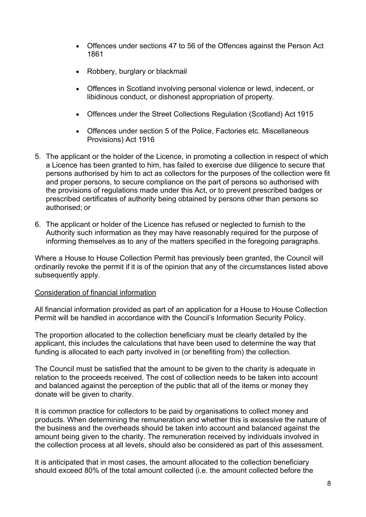- Offences under sections 47 to 56 of the Offences against the Person Act 1861
- Robbery, burglary or blackmail
- Offences in Scotland involving personal violence or lewd, indecent, or libidinous conduct, or dishonest appropriation of property.
- Offences under the Street Collections Regulation (Scotland) Act 1915
- Offences under section 5 of the Police, Factories etc. Miscellaneous Provisions) Act 1916
- 5. The applicant or the holder of the Licence, in promoting a collection in respect of which a Licence has been granted to him, has failed to exercise due diligence to secure that persons authorised by him to act as collectors for the purposes of the collection were fit and proper persons, to secure compliance on the part of persons so authorised with the provisions of regulations made under this Act, or to prevent prescribed badges or prescribed certificates of authority being obtained by persons other than persons so authorised; or
- 6. The applicant or holder of the Licence has refused or neglected to furnish to the Authority such information as they may have reasonably required for the purpose of informing themselves as to any of the matters specified in the foregoing paragraphs.

Where a House to House Collection Permit has previously been granted, the Council will ordinarily revoke the permit if it is of the opinion that any of the circumstances listed above subsequently apply.

#### Consideration of financial information

All financial information provided as part of an application for a House to House Collection Permit will be handled in accordance with the Council's Information Security Policy.

The proportion allocated to the collection beneficiary must be clearly detailed by the applicant, this includes the calculations that have been used to determine the way that funding is allocated to each party involved in (or benefiting from) the collection.

The Council must be satisfied that the amount to be given to the charity is adequate in relation to the proceeds received. The cost of collection needs to be taken into account and balanced against the perception of the public that all of the items or money they donate will be given to charity.

It is common practice for collectors to be paid by organisations to collect money and products. When determining the remuneration and whether this is excessive the nature of the business and the overheads should be taken into account and balanced against the amount being given to the charity. The remuneration received by individuals involved in the collection process at all levels, should also be considered as part of this assessment.

It is anticipated that in most cases, the amount allocated to the collection beneficiary should exceed 80% of the total amount collected (i.e. the amount collected before the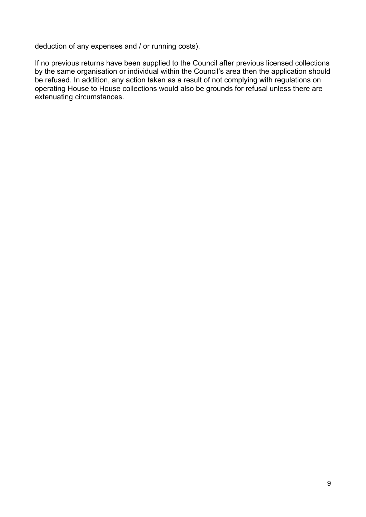deduction of any expenses and / or running costs).

If no previous returns have been supplied to the Council after previous licensed collections by the same organisation or individual within the Council's area then the application should be refused. In addition, any action taken as a result of not complying with regulations on operating House to House collections would also be grounds for refusal unless there are extenuating circumstances.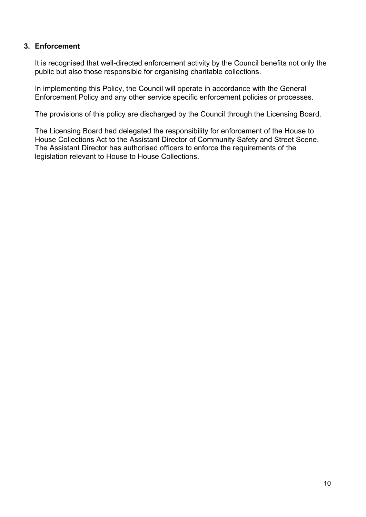#### **3. Enforcement**

It is recognised that well-directed enforcement activity by the Council benefits not only the public but also those responsible for organising charitable collections.

In implementing this Policy, the Council will operate in accordance with the General Enforcement Policy and any other service specific enforcement policies or processes.

The provisions of this policy are discharged by the Council through the Licensing Board.

The Licensing Board had delegated the responsibility for enforcement of the House to House Collections Act to the Assistant Director of Community Safety and Street Scene. The Assistant Director has authorised officers to enforce the requirements of the legislation relevant to House to House Collections.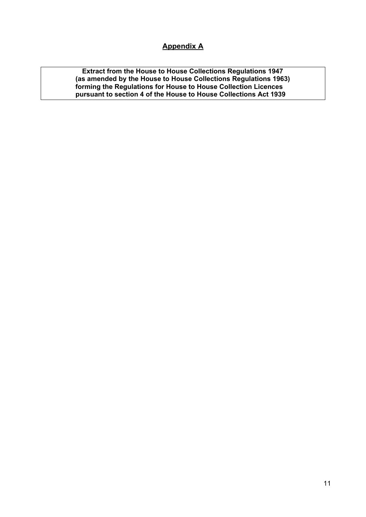## **Appendix A**

**Extract from the House to House Collections Regulations 1947 (as amended by the House to House Collections Regulations 1963) forming the Regulations for House to House Collection Licences pursuant to section 4 of the House to House Collections Act 1939**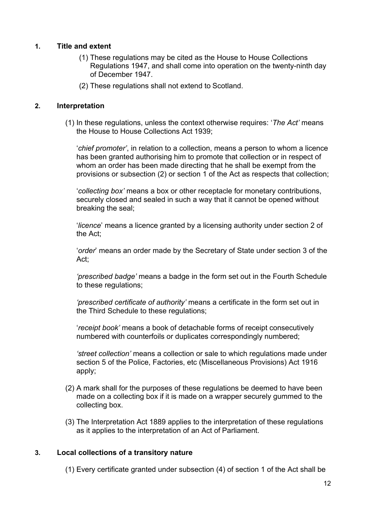#### **1. Title and extent**

- (1) These regulations may be cited as the House to House Collections Regulations 1947, and shall come into operation on the twenty-ninth day of December 1947.
- (2) These regulations shall not extend to Scotland.

#### **2. Interpretation**

(1) In these regulations, unless the context otherwise requires: '*The Act'* means the House to House Collections Act 1939;

'*chief promoter'*, in relation to a collection, means a person to whom a licence has been granted authorising him to promote that collection or in respect of whom an order has been made directing that he shall be exempt from the provisions or subsection (2) or section 1 of the Act as respects that collection;

'*collecting box'* means a box or other receptacle for monetary contributions, securely closed and sealed in such a way that it cannot be opened without breaking the seal;

'*licence*' means a licence granted by a licensing authority under section 2 of the Act;

'*order*' means an order made by the Secretary of State under section 3 of the Act;

*'prescribed badge'* means a badge in the form set out in the Fourth Schedule to these regulations;

*'prescribed certificate of authority'* means a certificate in the form set out in the Third Schedule to these regulations;

'*receipt book'* means a book of detachable forms of receipt consecutively numbered with counterfoils or duplicates correspondingly numbered;

*'street collection'* means a collection or sale to which regulations made under section 5 of the Police, Factories, etc (Miscellaneous Provisions) Act 1916 apply;

- (2) A mark shall for the purposes of these regulations be deemed to have been made on a collecting box if it is made on a wrapper securely gummed to the collecting box.
- (3) The Interpretation Act 1889 applies to the interpretation of these regulations as it applies to the interpretation of an Act of Parliament.

#### **3. Local collections of a transitory nature**

(1) Every certificate granted under subsection (4) of section 1 of the Act shall be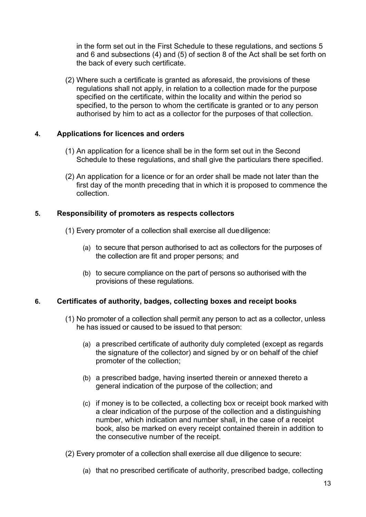in the form set out in the First Schedule to these regulations, and sections 5 and 6 and subsections (4) and (5) of section 8 of the Act shall be set forth on the back of every such certificate.

(2) Where such a certificate is granted as aforesaid, the provisions of these regulations shall not apply, in relation to a collection made for the purpose specified on the certificate, within the locality and within the period so specified, to the person to whom the certificate is granted or to any person authorised by him to act as a collector for the purposes of that collection.

#### **4. Applications for licences and orders**

- (1) An application for a licence shall be in the form set out in the Second Schedule to these regulations, and shall give the particulars there specified.
- (2) An application for a licence or for an order shall be made not later than the first day of the month preceding that in which it is proposed to commence the collection.

#### **5. Responsibility of promoters as respects collectors**

- (1) Every promoter of a collection shall exercise all duediligence:
	- (a) to secure that person authorised to act as collectors for the purposes of the collection are fit and proper persons; and
	- (b) to secure compliance on the part of persons so authorised with the provisions of these regulations.

#### **6. Certificates of authority, badges, collecting boxes and receipt books**

- (1) No promoter of a collection shall permit any person to act as a collector, unless he has issued or caused to be issued to that person:
	- (a) a prescribed certificate of authority duly completed (except as regards the signature of the collector) and signed by or on behalf of the chief promoter of the collection;
	- (b) a prescribed badge, having inserted therein or annexed thereto a general indication of the purpose of the collection; and
	- (c) if money is to be collected, a collecting box or receipt book marked with a clear indication of the purpose of the collection and a distinguishing number, which indication and number shall, in the case of a receipt book, also be marked on every receipt contained therein in addition to the consecutive number of the receipt.
- (2) Every promoter of a collection shall exercise all due diligence to secure:
	- (a) that no prescribed certificate of authority, prescribed badge, collecting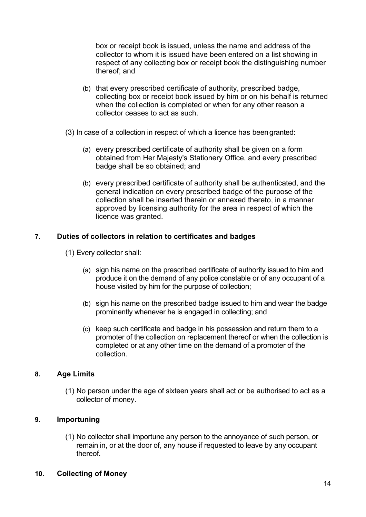box or receipt book is issued, unless the name and address of the collector to whom it is issued have been entered on a list showing in respect of any collecting box or receipt book the distinguishing number thereof; and

- (b) that every prescribed certificate of authority, prescribed badge, collecting box or receipt book issued by him or on his behalf is returned when the collection is completed or when for any other reason a collector ceases to act as such.
- (3) In case of a collection in respect of which a licence has beengranted:
	- (a) every prescribed certificate of authority shall be given on a form obtained from Her Majesty's Stationery Office, and every prescribed badge shall be so obtained; and
	- (b) every prescribed certificate of authority shall be authenticated, and the general indication on every prescribed badge of the purpose of the collection shall be inserted therein or annexed thereto, in a manner approved by licensing authority for the area in respect of which the licence was granted.

#### **7. Duties of collectors in relation to certificates and badges**

- (1) Every collector shall:
	- (a) sign his name on the prescribed certificate of authority issued to him and produce it on the demand of any police constable or of any occupant of a house visited by him for the purpose of collection;
	- (b) sign his name on the prescribed badge issued to him and wear the badge prominently whenever he is engaged in collecting; and
	- (c) keep such certificate and badge in his possession and return them to a promoter of the collection on replacement thereof or when the collection is completed or at any other time on the demand of a promoter of the collection.

#### **8. Age Limits**

(1) No person under the age of sixteen years shall act or be authorised to act as a collector of money.

#### **9. Importuning**

(1) No collector shall importune any person to the annoyance of such person, or remain in, or at the door of, any house if requested to leave by any occupant thereof.

#### **10. Collecting of Money**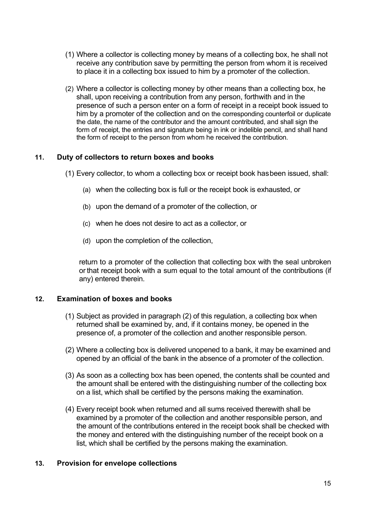- (1) Where a collector is collecting money by means of a collecting box, he shall not receive any contribution save by permitting the person from whom it is received to place it in a collecting box issued to him by a promoter of the collection.
- (2) Where a collector is collecting money by other means than a collecting box, he shall, upon receiving a contribution from any person, forthwith and in the presence of such a person enter on a form of receipt in a receipt book issued to him by a promoter of the collection and on the corresponding counterfoil or duplicate the date, the name of the contributor and the amount contributed, and shall sign the form of receipt, the entries and signature being in ink or indelible pencil, and shall hand the form of receipt to the person from whom he received the contribution.

#### **11. Duty of collectors to return boxes and books**

(1) Every collector, to whom a collecting box or receipt book hasbeen issued, shall:

- (a) when the collecting box is full or the receipt book is exhausted, or
- (b) upon the demand of a promoter of the collection, or
- (c) when he does not desire to act as a collector, or
- (d) upon the completion of the collection,

return to a promoter of the collection that collecting box with the seal unbroken orthat receipt book with a sum equal to the total amount of the contributions (if any) entered therein.

#### **12. Examination of boxes and books**

- (1) Subject as provided in paragraph (2) of this regulation, a collecting box when returned shall be examined by, and, if it contains money, be opened in the presence of, a promoter of the collection and another responsible person.
- (2) Where a collecting box is delivered unopened to a bank, it may be examined and opened by an official of the bank in the absence of a promoter of the collection.
- (3) As soon as a collecting box has been opened, the contents shall be counted and the amount shall be entered with the distinguishing number of the collecting box on a list, which shall be certified by the persons making the examination.
- (4) Every receipt book when returned and all sums received therewith shall be examined by a promoter of the collection and another responsible person, and the amount of the contributions entered in the receipt book shall be checked with the money and entered with the distinguishing number of the receipt book on a list, which shall be certified by the persons making the examination.

#### **13. Provision for envelope collections**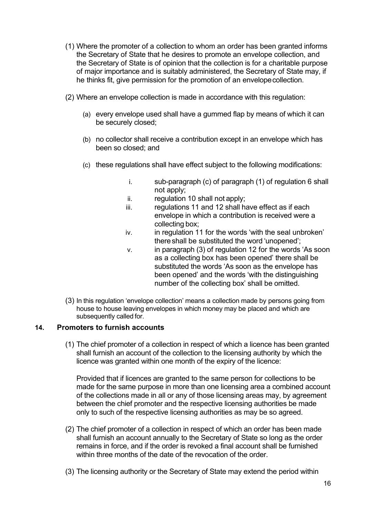- (1) Where the promoter of a collection to whom an order has been granted informs the Secretary of State that he desires to promote an envelope collection, and the Secretary of State is of opinion that the collection is for a charitable purpose of major importance and is suitably administered, the Secretary of State may, if he thinks fit, give permission for the promotion of an envelopecollection.
- (2) Where an envelope collection is made in accordance with this regulation:
	- (a) every envelope used shall have a gummed flap by means of which it can be securely closed;
	- (b) no collector shall receive a contribution except in an envelope which has been so closed; and
	- (c) these regulations shall have effect subject to the following modifications:
		- i. sub-paragraph (c) of paragraph (1) of regulation 6 shall not apply;
		- ii. regulation 10 shall not apply;
		- iii. regulations 11 and 12 shall have effect as if each envelope in which a contribution is received were a collecting box;
		- iv. in regulation 11 for the words 'with the seal unbroken' thereshall be substituted the word 'unopened';
		- v. in paragraph (3) of regulation 12 for the words 'As soon as a collecting box has been opened' there shall be substituted the words 'As soon as the envelope has been opened' and the words 'with the distinguishing number of the collecting box' shall be omitted.
- (3) In this regulation 'envelope collection' means a collection made by persons going from house to house leaving envelopes in which money may be placed and which are subsequently called for.

#### **14. Promoters to furnish accounts**

(1) The chief promoter of a collection in respect of which a licence has been granted shall furnish an account of the collection to the licensing authority by which the licence was granted within one month of the expiry of the licence:

Provided that if licences are granted to the same person for collections to be made for the same purpose in more than one licensing area a combined account of the collections made in all or any of those licensing areas may, by agreement between the chief promoter and the respective licensing authorities be made only to such of the respective licensing authorities as may be so agreed.

- (2) The chief promoter of a collection in respect of which an order has been made shall furnish an account annually to the Secretary of State so long as the order remains in force, and if the order is revoked a final account shall be furnished within three months of the date of the revocation of the order.
- (3) The licensing authority or the Secretary of State may extend the period within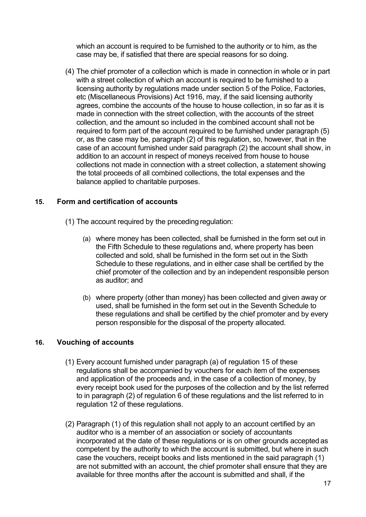which an account is required to be furnished to the authority or to him, as the case may be, if satisfied that there are special reasons for so doing.

(4) The chief promoter of a collection which is made in connection in whole or in part with a street collection of which an account is required to be furnished to a licensing authority by regulations made under section 5 of the Police, Factories, etc (Miscellaneous Provisions) Act 1916, may, if the said licensing authority agrees, combine the accounts of the house to house collection, in so far as it is made in connection with the street collection, with the accounts of the street collection, and the amount so included in the combined account shall not be required to form part of the account required to be furnished under paragraph (5) or, as the case may be, paragraph (2) of this regulation, so, however, that in the case of an account furnished under said paragraph (2) the account shall show, in addition to an account in respect of moneys received from house to house collections not made in connection with a street collection, a statement showing the total proceeds of all combined collections, the total expenses and the balance applied to charitable purposes.

#### **15. Form and certification of accounts**

- (1) The account required by the preceding regulation:
	- (a) where money has been collected, shall be furnished in the form set out in the Fifth Schedule to these regulations and, where property has been collected and sold, shall be furnished in the form set out in the Sixth Schedule to these regulations, and in either case shall be certified by the chief promoter of the collection and by an independent responsible person as auditor; and
	- (b) where property (other than money) has been collected and given away or used, shall be furnished in the form set out in the Seventh Schedule to these regulations and shall be certified by the chief promoter and by every person responsible for the disposal of the property allocated.

#### **16. Vouching of accounts**

- (1) Every account furnished under paragraph (a) of regulation 15 of these regulations shall be accompanied by vouchers for each item of the expenses and application of the proceeds and, in the case of a collection of money, by every receipt book used for the purposes of the collection and by the list referred to in paragraph (2) of regulation 6 of these regulations and the list referred to in regulation 12 of these regulations.
- (2) Paragraph (1) of this regulation shall not apply to an account certified by an auditor who is a member of an association or society of accountants incorporated at the date of these regulations or is on other grounds accepted as competent by the authority to which the account is submitted, but where in such case the vouchers, receipt books and lists mentioned in the said paragraph (1) are not submitted with an account, the chief promoter shall ensure that they are available for three months after the account is submitted and shall, if the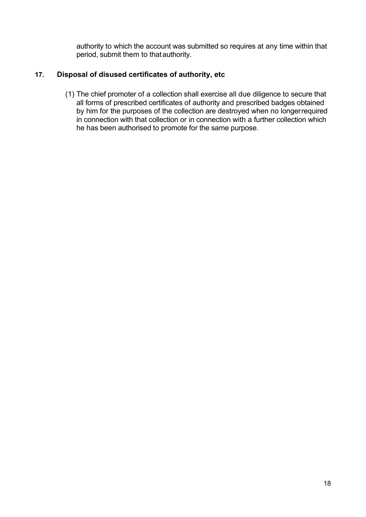authority to which the account was submitted so requires at any time within that period, submit them to thatauthority.

## **17. Disposal of disused certificates of authority, etc**

(1) The chief promoter of a collection shall exercise all due diligence to secure that all forms of prescribed certificates of authority and prescribed badges obtained by him for the purposes of the collection are destroyed when no longerrequired in connection with that collection or in connection with a further collection which he has been authorised to promote for the same purpose.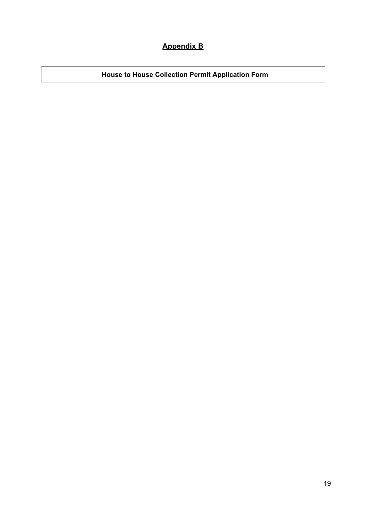# **Appendix B**

**House to House Collection Permit Application Form**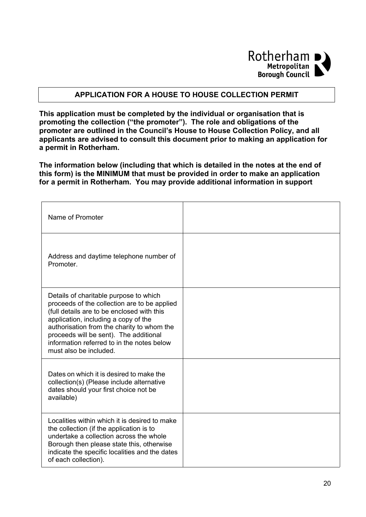

#### **APPLICATION FOR A HOUSE TO HOUSE COLLECTION PERMIT**

**This application must be completed by the individual or organisation that is promoting the collection ("the promoter"). The role and obligations of the promoter are outlined in the Council's House to House Collection Policy, and all applicants are advised to consult this document prior to making an application for a permit in Rotherham.**

**The information below (including that which is detailed in the notes at the end of this form) is the MINIMUM that must be provided in order to make an application for a permit in Rotherham. You may provide additional information in support**

| Name of Promoter                                                                                                                                                                                                                                                                                                                             |  |
|----------------------------------------------------------------------------------------------------------------------------------------------------------------------------------------------------------------------------------------------------------------------------------------------------------------------------------------------|--|
| Address and daytime telephone number of<br>Promoter.                                                                                                                                                                                                                                                                                         |  |
| Details of charitable purpose to which<br>proceeds of the collection are to be applied<br>(full details are to be enclosed with this<br>application, including a copy of the<br>authorisation from the charity to whom the<br>proceeds will be sent). The additional<br>information referred to in the notes below<br>must also be included. |  |
| Dates on which it is desired to make the<br>collection(s) (Please include alternative<br>dates should your first choice not be<br>available)                                                                                                                                                                                                 |  |
| Localities within which it is desired to make<br>the collection (if the application is to<br>undertake a collection across the whole<br>Borough then please state this, otherwise<br>indicate the specific localities and the dates<br>of each collection).                                                                                  |  |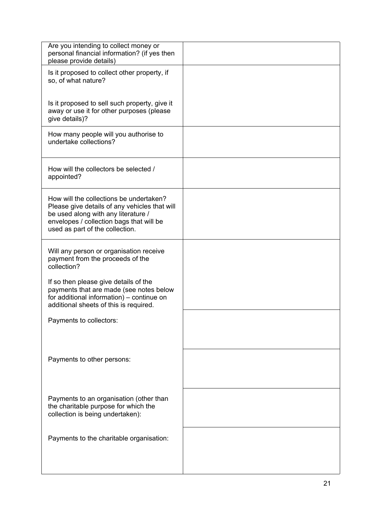| Are you intending to collect money or<br>personal financial information? (if yes then<br>please provide details)                                                                                               |  |
|----------------------------------------------------------------------------------------------------------------------------------------------------------------------------------------------------------------|--|
| Is it proposed to collect other property, if<br>so, of what nature?                                                                                                                                            |  |
| Is it proposed to sell such property, give it<br>away or use it for other purposes (please<br>give details)?                                                                                                   |  |
| How many people will you authorise to<br>undertake collections?                                                                                                                                                |  |
| How will the collectors be selected /<br>appointed?                                                                                                                                                            |  |
| How will the collections be undertaken?<br>Please give details of any vehicles that will<br>be used along with any literature /<br>envelopes / collection bags that will be<br>used as part of the collection. |  |
| Will any person or organisation receive<br>payment from the proceeds of the<br>collection?                                                                                                                     |  |
| If so then please give details of the<br>payments that are made (see notes below<br>for additional information) – continue on<br>additional sheets of this is required.                                        |  |
| Payments to collectors:                                                                                                                                                                                        |  |
| Payments to other persons:                                                                                                                                                                                     |  |
| Payments to an organisation (other than<br>the charitable purpose for which the<br>collection is being undertaken):                                                                                            |  |
| Payments to the charitable organisation:                                                                                                                                                                       |  |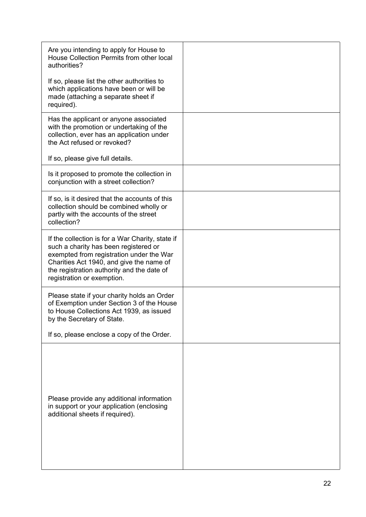| Are you intending to apply for House to<br>House Collection Permits from other local<br>authorities?                                                                                                                                                          |  |
|---------------------------------------------------------------------------------------------------------------------------------------------------------------------------------------------------------------------------------------------------------------|--|
| If so, please list the other authorities to<br>which applications have been or will be<br>made (attaching a separate sheet if<br>required).                                                                                                                   |  |
| Has the applicant or anyone associated<br>with the promotion or undertaking of the<br>collection, ever has an application under<br>the Act refused or revoked?                                                                                                |  |
| If so, please give full details.                                                                                                                                                                                                                              |  |
| Is it proposed to promote the collection in<br>conjunction with a street collection?                                                                                                                                                                          |  |
| If so, is it desired that the accounts of this<br>collection should be combined wholly or<br>partly with the accounts of the street<br>collection?                                                                                                            |  |
| If the collection is for a War Charity, state if<br>such a charity has been registered or<br>exempted from registration under the War<br>Charities Act 1940, and give the name of<br>the registration authority and the date of<br>registration or exemption. |  |
| Please state if your charity holds an Order<br>of Exemption under Section 3 of the House<br>to House Collections Act 1939, as issued<br>by the Secretary of State.                                                                                            |  |
| If so, please enclose a copy of the Order.                                                                                                                                                                                                                    |  |
| Please provide any additional information<br>in support or your application (enclosing<br>additional sheets if required).                                                                                                                                     |  |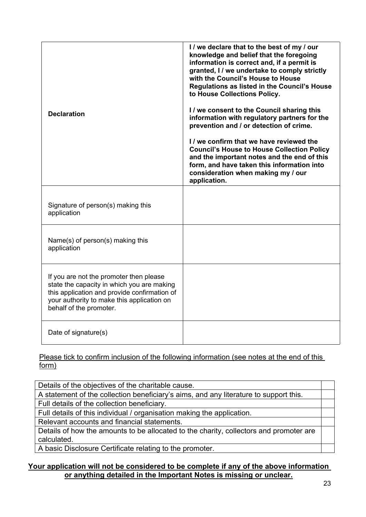| <b>Declaration</b>                                                                                                                                                                                             | I / we declare that to the best of my / our<br>knowledge and belief that the foregoing<br>information is correct and, if a permit is<br>granted, I / we undertake to comply strictly<br>with the Council's House to House<br>Regulations as listed in the Council's House<br>to House Collections Policy.<br>I / we consent to the Council sharing this<br>information with regulatory partners for the<br>prevention and / or detection of crime.<br>I / we confirm that we have reviewed the<br><b>Council's House to House Collection Policy</b><br>and the important notes and the end of this<br>form, and have taken this information into<br>consideration when making my / our<br>application. |
|----------------------------------------------------------------------------------------------------------------------------------------------------------------------------------------------------------------|--------------------------------------------------------------------------------------------------------------------------------------------------------------------------------------------------------------------------------------------------------------------------------------------------------------------------------------------------------------------------------------------------------------------------------------------------------------------------------------------------------------------------------------------------------------------------------------------------------------------------------------------------------------------------------------------------------|
| Signature of person(s) making this<br>application                                                                                                                                                              |                                                                                                                                                                                                                                                                                                                                                                                                                                                                                                                                                                                                                                                                                                        |
| Name(s) of person(s) making this<br>application                                                                                                                                                                |                                                                                                                                                                                                                                                                                                                                                                                                                                                                                                                                                                                                                                                                                                        |
| If you are not the promoter then please<br>state the capacity in which you are making<br>this application and provide confirmation of<br>your authority to make this application on<br>behalf of the promoter. |                                                                                                                                                                                                                                                                                                                                                                                                                                                                                                                                                                                                                                                                                                        |
| Date of signature(s)                                                                                                                                                                                           |                                                                                                                                                                                                                                                                                                                                                                                                                                                                                                                                                                                                                                                                                                        |

Please tick to confirm inclusion of the following information (see notes at the end of this form)

Details of the objectives of the charitable cause. A statement of the collection beneficiary's aims, and any literature to support this. Full details of the collection beneficiary. Full details of this individual / organisation making the application. Relevant accounts and financial statements. Details of how the amounts to be allocated to the charity, collectors and promoter are calculated.

A basic Disclosure Certificate relating to the promoter.

#### **Your application will not be considered to be complete if any of the above information or anything detailed in the Important Notes is missing or unclear.**